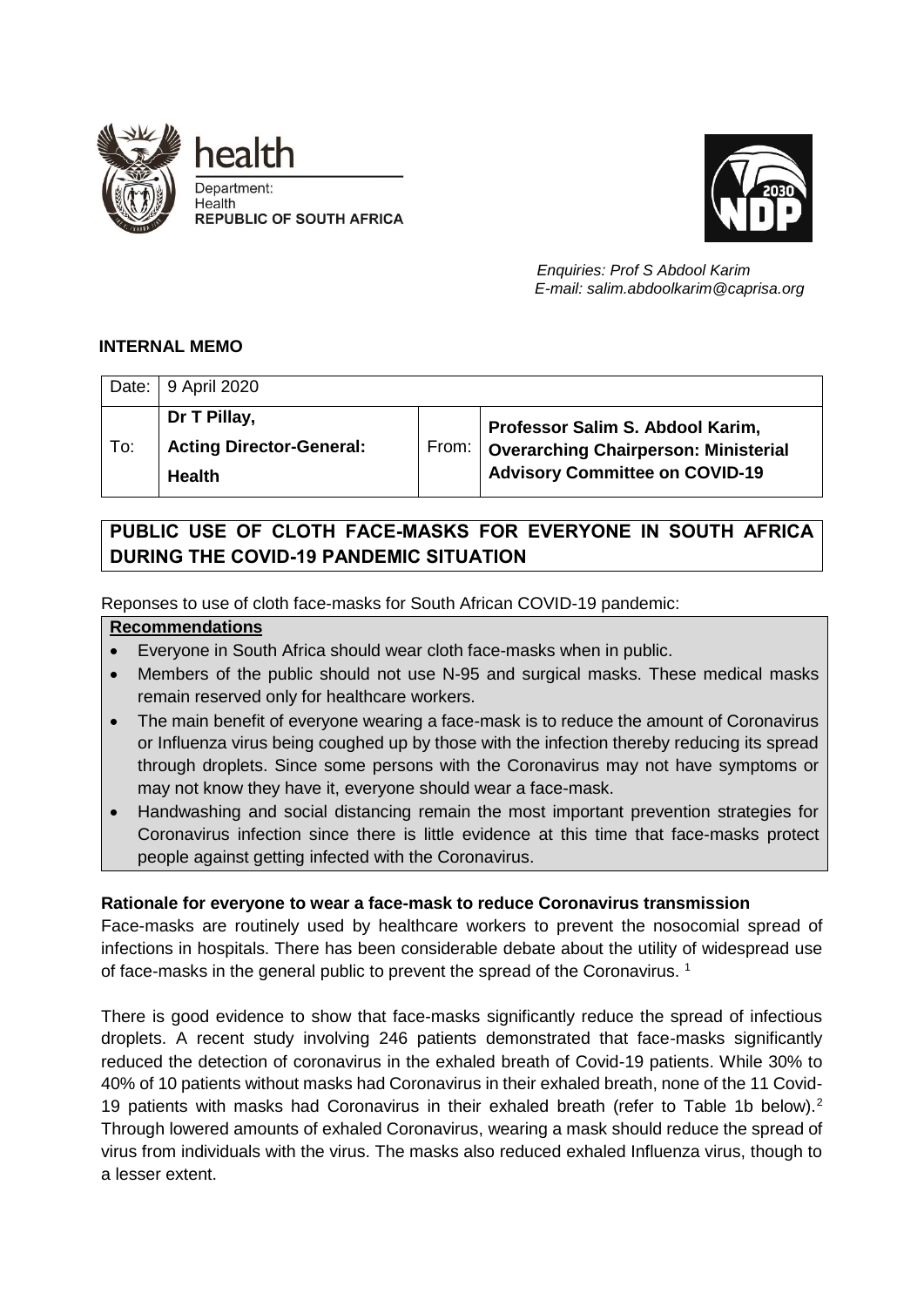



 *Enquiries: Prof S Abdool Karim E-mail: salim.abdoolkarim@caprisa.org*

#### **INTERNAL MEMO**

|     | Date: 9 April 2020                                               |         |                                                                                                                   |
|-----|------------------------------------------------------------------|---------|-------------------------------------------------------------------------------------------------------------------|
| To: | Dr T Pillay,<br><b>Acting Director-General:</b><br><b>Health</b> | From: ' | Professor Salim S. Abdool Karim,<br>Overarching Chairperson: Ministerial<br><b>Advisory Committee on COVID-19</b> |

# **PUBLIC USE OF CLOTH FACE-MASKS FOR EVERYONE IN SOUTH AFRICA DURING THE COVID-19 PANDEMIC SITUATION**

Reponses to use of cloth face-masks for South African COVID-19 pandemic:

#### **Recommendations**

- Everyone in South Africa should wear cloth face-masks when in public.
- Members of the public should not use N-95 and surgical masks. These medical masks remain reserved only for healthcare workers.
- The main benefit of everyone wearing a face-mask is to reduce the amount of Coronavirus or Influenza virus being coughed up by those with the infection thereby reducing its spread through droplets. Since some persons with the Coronavirus may not have symptoms or may not know they have it, everyone should wear a face-mask.
- Handwashing and social distancing remain the most important prevention strategies for Coronavirus infection since there is little evidence at this time that face-masks protect people against getting infected with the Coronavirus.

### **Rationale for everyone to wear a face-mask to reduce Coronavirus transmission**

Face-masks are routinely used by healthcare workers to prevent the nosocomial spread of infections in hospitals. There has been considerable debate about the utility of widespread use of face-masks in the general public to prevent the spread of the Coronavirus.<sup>1</sup>

There is good evidence to show that face-masks significantly reduce the spread of infectious droplets. A recent study involving 246 patients demonstrated that face-masks significantly reduced the detection of coronavirus in the exhaled breath of Covid-19 patients. While 30% to 40% of 10 patients without masks had Coronavirus in their exhaled breath, none of the 11 Covid-19 patients with masks had Coronavirus in their exhaled breath (refer to Table 1b below).<sup>2</sup> Through lowered amounts of exhaled Coronavirus, wearing a mask should reduce the spread of virus from individuals with the virus. The masks also reduced exhaled Influenza virus, though to a lesser extent.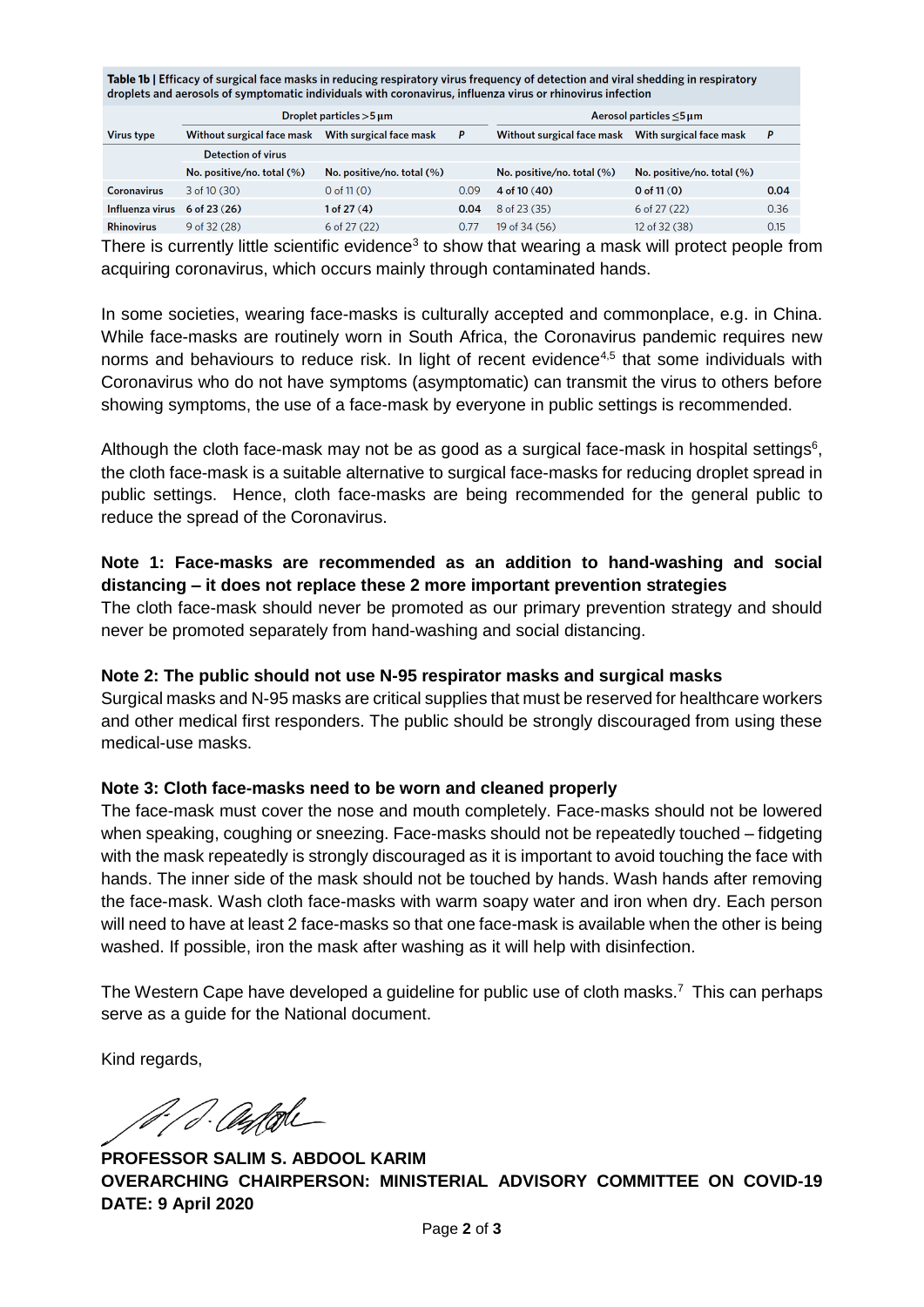Table 1b | Efficacy of surgical face masks in reducing respiratory virus frequency of detection and viral shedding in respiratory droplets and aerosols of symptomatic individuals with coronavirus, influenza virus or rhinovirus infection

|                    | Droplet particles $>5 \,\mathrm{\upmu m}$ |                               |      | Aerosol particles $\leq$ 5 µm |                               |      |
|--------------------|-------------------------------------------|-------------------------------|------|-------------------------------|-------------------------------|------|
| <b>Virus type</b>  | Without surgical face mask                | With surgical face mask       | P    | Without surgical face mask    | With surgical face mask       | P    |
|                    | Detection of virus                        |                               |      |                               |                               |      |
|                    | No. positive/no. total $(\%)$             | No. positive/no. total $(\%)$ |      | No. positive/no. total $(\%)$ | No. positive/no. total $(\%)$ |      |
| <b>Coronavirus</b> | $3$ of 10 $(30)$                          | $0$ of 11 $(0)$               | 0.09 | 4 of 10 $(40)$                | 0 of $11(0)$                  | 0.04 |
| Influenza virus    | $6$ of 23 $(26)$                          | 1 of 27(4)                    | 0.04 | 8 of 23 (35)                  | $6$ of 27 (22)                | 0.36 |
| <b>Rhinovirus</b>  | $9$ of 32 (28)                            | 6 of 27 (22)                  | 0.77 | 19 of 34 (56)                 | 12 of 32 (38)                 | 0.15 |

There is currently little scientific evidence<sup>3</sup> to show that wearing a mask will protect people from acquiring coronavirus, which occurs mainly through contaminated hands.

In some societies, wearing face-masks is culturally accepted and commonplace, e.g. in China. While face-masks are routinely worn in South Africa, the Coronavirus pandemic requires new norms and behaviours to reduce risk. In light of recent evidence<sup>4,5</sup> that some individuals with Coronavirus who do not have symptoms (asymptomatic) can transmit the virus to others before showing symptoms, the use of a face-mask by everyone in public settings is recommended.

Although the cloth face-mask may not be as good as a surgical face-mask in hospital settings<sup>6</sup>, the cloth face-mask is a suitable alternative to surgical face-masks for reducing droplet spread in public settings. Hence, cloth face-masks are being recommended for the general public to reduce the spread of the Coronavirus.

## **Note 1: Face-masks are recommended as an addition to hand-washing and social distancing – it does not replace these 2 more important prevention strategies**

The cloth face-mask should never be promoted as our primary prevention strategy and should never be promoted separately from hand-washing and social distancing.

### **Note 2: The public should not use N-95 respirator masks and surgical masks**

Surgical masks and N-95 masks are critical supplies that must be reserved for healthcare workers and other medical first responders. The public should be strongly discouraged from using these medical-use masks.

#### **Note 3: Cloth face-masks need to be worn and cleaned properly**

The face-mask must cover the nose and mouth completely. Face-masks should not be lowered when speaking, coughing or sneezing. Face-masks should not be repeatedly touched – fidgeting with the mask repeatedly is strongly discouraged as it is important to avoid touching the face with hands. The inner side of the mask should not be touched by hands. Wash hands after removing the face-mask. Wash cloth face-masks with warm soapy water and iron when dry. Each person will need to have at least 2 face-masks so that one face-mask is available when the other is being washed. If possible, iron the mask after washing as it will help with disinfection.

The Western Cape have developed a guideline for public use of cloth masks.<sup>7</sup> This can perhaps serve as a guide for the National document.

Kind regards,

A. S. augtobe

**PROFESSOR SALIM S. ABDOOL KARIM OVERARCHING CHAIRPERSON: MINISTERIAL ADVISORY COMMITTEE ON COVID-19 DATE: 9 April 2020**